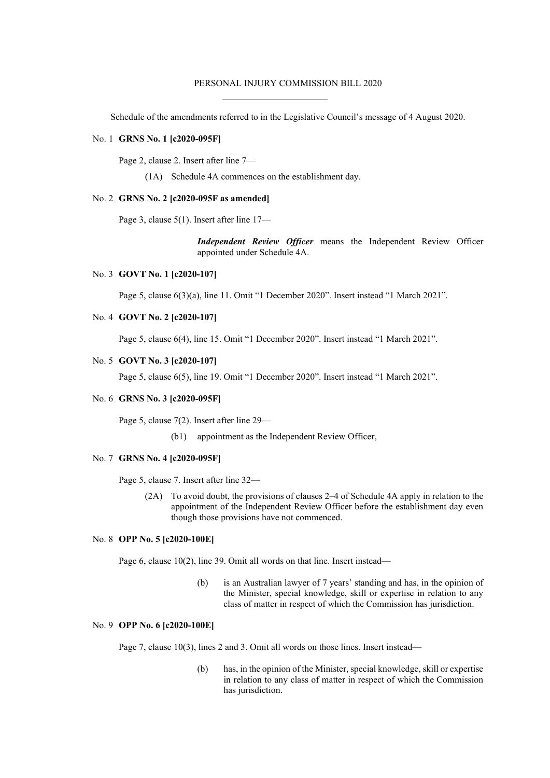#### PERSONAL INJURY COMMISSION BILL 2020

Schedule of the amendments referred to in the Legislative Council's message of 4 August 2020.

#### No. 1 **GRNS No. 1 [c2020-095F]**

Page 2, clause 2. Insert after line 7—

(1A) Schedule 4A commences on the establishment day.

## No. 2 **GRNS No. 2 [c2020-095F as amended]**

Page 3, clause 5(1). Insert after line 17—

*Independent Review Officer* means the Independent Review Officer appointed under Schedule 4A.

#### No. 3 **GOVT No. 1 [c2020-107]**

Page 5, clause 6(3)(a), line 11. Omit "1 December 2020". Insert instead "1 March 2021".

# No. 4 **GOVT No. 2 [c2020-107]**

Page 5, clause 6(4), line 15. Omit "1 December 2020". Insert instead "1 March 2021".

# No. 5 **GOVT No. 3 [c2020-107]**

Page 5, clause 6(5), line 19. Omit "1 December 2020". Insert instead "1 March 2021".

#### No. 6 **GRNS No. 3 [c2020-095F]**

Page 5, clause 7(2). Insert after line 29—

(b1) appointment as the Independent Review Officer,

#### No. 7 **GRNS No. 4 [c2020-095F]**

Page 5, clause 7. Insert after line 32—

(2A) To avoid doubt, the provisions of clauses 2–4 of Schedule 4A apply in relation to the appointment of the Independent Review Officer before the establishment day even though those provisions have not commenced.

# No. 8 **OPP No. 5 [c2020-100E]**

Page 6, clause 10(2), line 39. Omit all words on that line. Insert instead—

(b) is an Australian lawyer of 7 years' standing and has, in the opinion of the Minister, special knowledge, skill or expertise in relation to any class of matter in respect of which the Commission has jurisdiction.

## No. 9 **OPP No. 6 [c2020-100E]**

Page 7, clause 10(3), lines 2 and 3. Omit all words on those lines. Insert instead—

(b) has, in the opinion of the Minister, special knowledge, skill or expertise in relation to any class of matter in respect of which the Commission has jurisdiction.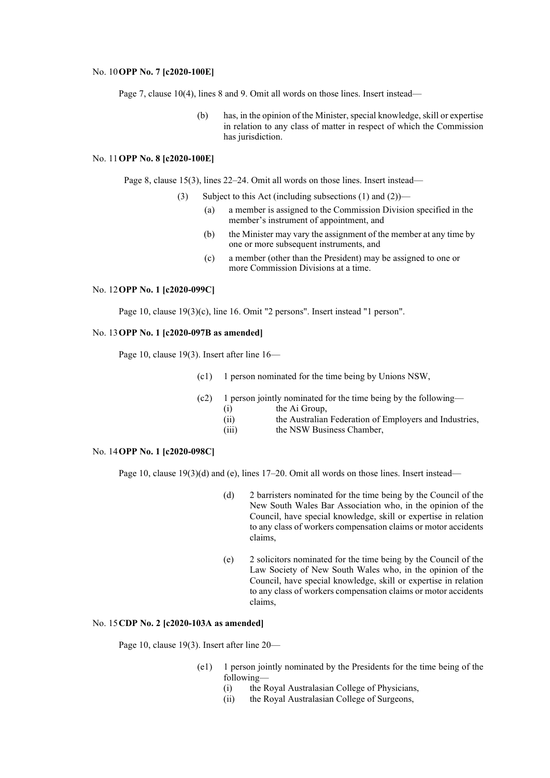#### No. 10**OPP No. 7 [c2020-100E]**

Page 7, clause 10(4), lines 8 and 9. Omit all words on those lines. Insert instead—

(b) has, in the opinion of the Minister, special knowledge, skill or expertise in relation to any class of matter in respect of which the Commission has jurisdiction.

## No. 11**OPP No. 8 [c2020-100E]**

Page 8, clause 15(3), lines 22–24. Omit all words on those lines. Insert instead—

- (3) Subject to this Act (including subsections (1) and (2))—
	- (a) a member is assigned to the Commission Division specified in the member's instrument of appointment, and
	- (b) the Minister may vary the assignment of the member at any time by one or more subsequent instruments, and
	- (c) a member (other than the President) may be assigned to one or more Commission Divisions at a time.

#### No. 12**OPP No. 1 [c2020-099C]**

Page 10, clause 19(3)(c), line 16. Omit "2 persons". Insert instead "1 person".

### No. 13**OPP No. 1 [c2020-097B as amended]**

Page 10, clause 19(3). Insert after line 16—

- (c1) 1 person nominated for the time being by Unions NSW,
- (c2) 1 person jointly nominated for the time being by the following—
	- (i) the Ai Group,
		- (ii) the Australian Federation of Employers and Industries,
	- (iii) the NSW Business Chamber,

# No. 14**OPP No. 1 [c2020-098C]**

Page 10, clause 19(3)(d) and (e), lines 17–20. Omit all words on those lines. Insert instead—

- (d) 2 barristers nominated for the time being by the Council of the New South Wales Bar Association who, in the opinion of the Council, have special knowledge, skill or expertise in relation to any class of workers compensation claims or motor accidents claims,
- (e) 2 solicitors nominated for the time being by the Council of the Law Society of New South Wales who, in the opinion of the Council, have special knowledge, skill or expertise in relation to any class of workers compensation claims or motor accidents claims,

# No. 15**CDP No. 2 [c2020-103A as amended]**

Page 10, clause 19(3). Insert after line 20—

- (e1) 1 person jointly nominated by the Presidents for the time being of the following—
	- (i) the Royal Australasian College of Physicians,
	- (ii) the Royal Australasian College of Surgeons,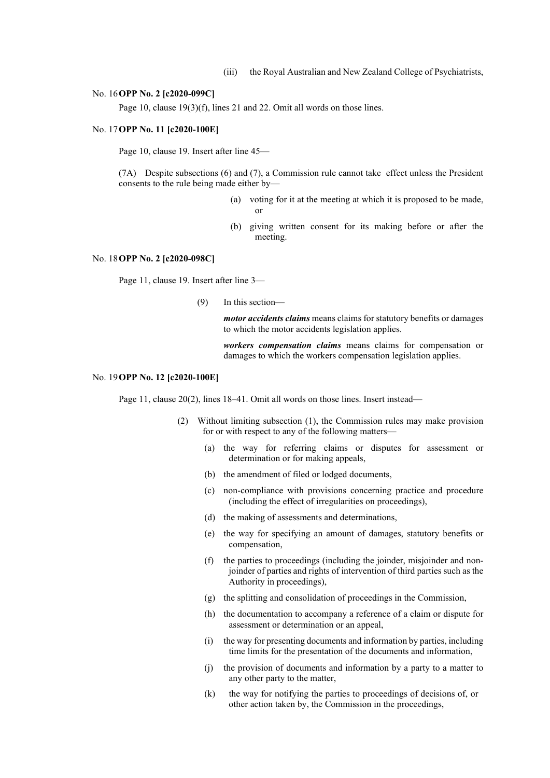#### No. 16**OPP No. 2 [c2020-099C]**

Page 10, clause 19(3)(f), lines 21 and 22. Omit all words on those lines.

#### No. 17**OPP No. 11 [c2020-100E]**

Page 10, clause 19. Insert after line 45—

(7A) Despite subsections (6) and (7), a Commission rule cannot take effect unless the President consents to the rule being made either by—

- (a) voting for it at the meeting at which it is proposed to be made, or
- (b) giving written consent for its making before or after the meeting.

#### No. 18**OPP No. 2 [c2020-098C]**

Page 11, clause 19. Insert after line 3—

(9) In this section—

*motor accidents claims* means claims for statutory benefits or damages to which the motor accidents legislation applies.

*workers compensation claims* means claims for compensation or damages to which the workers compensation legislation applies.

#### No. 19**OPP No. 12 [c2020-100E]**

Page 11, clause 20(2), lines 18–41. Omit all words on those lines. Insert instead—

- (2) Without limiting subsection (1), the Commission rules may make provision for or with respect to any of the following matters—
	- (a) the way for referring claims or disputes for assessment or determination or for making appeals,
	- (b) the amendment of filed or lodged documents,
	- (c) non-compliance with provisions concerning practice and procedure (including the effect of irregularities on proceedings),
	- (d) the making of assessments and determinations,
	- (e) the way for specifying an amount of damages, statutory benefits or compensation,
	- (f) the parties to proceedings (including the joinder, misjoinder and nonjoinder of parties and rights of intervention of third parties such as the Authority in proceedings),
	- (g) the splitting and consolidation of proceedings in the Commission,
	- (h) the documentation to accompany a reference of a claim or dispute for assessment or determination or an appeal,
	- (i) the way for presenting documents and information by parties, including time limits for the presentation of the documents and information,
	- (j) the provision of documents and information by a party to a matter to any other party to the matter,
	- (k) the way for notifying the parties to proceedings of decisions of, or other action taken by, the Commission in the proceedings,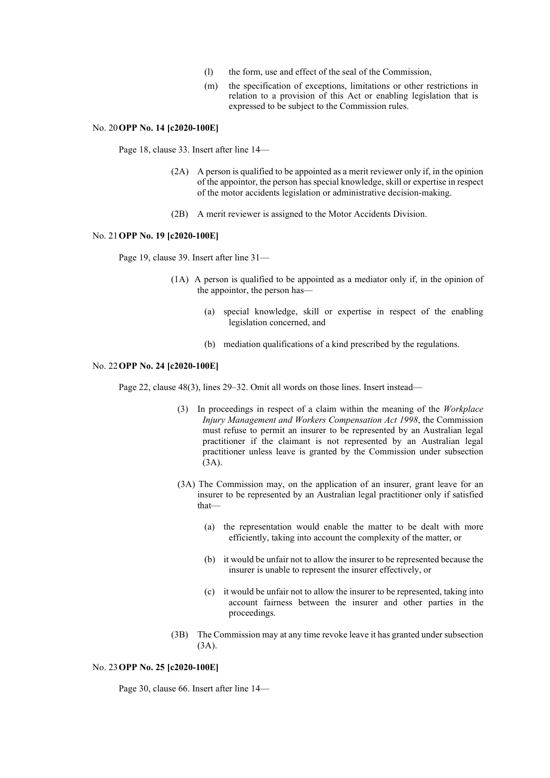- (l) the form, use and effect of the seal of the Commission,
- (m) the specification of exceptions, limitations or other restrictions in relation to a provision of this Act or enabling legislation that is expressed to be subject to the Commission rules.

## No. 20**OPP No. 14 [c2020-100E]**

Page 18, clause 33. Insert after line 14—

- (2A) A person is qualified to be appointed as a merit reviewer only if, in the opinion of the appointor, the person has special knowledge, skill or expertise in respect of the motor accidents legislation or administrative decision-making.
- (2B) A merit reviewer is assigned to the Motor Accidents Division.

#### No. 21**OPP No. 19 [c2020-100E]**

Page 19, clause 39. Insert after line 31—

- (1A) A person is qualified to be appointed as a mediator only if, in the opinion of the appointor, the person has—
	- (a) special knowledge, skill or expertise in respect of the enabling legislation concerned, and
	- (b) mediation qualifications of a kind prescribed by the regulations.

#### No. 22**OPP No. 24 [c2020-100E]**

Page 22, clause 48(3), lines 29–32. Omit all words on those lines. Insert instead—

- (3) In proceedings in respect of a claim within the meaning of the *Workplace Injury Management and Workers Compensation Act 1998*, the Commission must refuse to permit an insurer to be represented by an Australian legal practitioner if the claimant is not represented by an Australian legal practitioner unless leave is granted by the Commission under subsection (3A).
- (3A) The Commission may, on the application of an insurer, grant leave for an insurer to be represented by an Australian legal practitioner only if satisfied that—
	- (a) the representation would enable the matter to be dealt with more efficiently, taking into account the complexity of the matter, or
	- (b) it would be unfair not to allow the insurer to be represented because the insurer is unable to represent the insurer effectively, or
	- (c) it would be unfair not to allow the insurer to be represented, taking into account fairness between the insurer and other parties in the proceedings.
- (3B) The Commission may at any time revoke leave it has granted under subsection (3A).

### No. 23**OPP No. 25 [c2020-100E]**

Page 30, clause 66. Insert after line 14—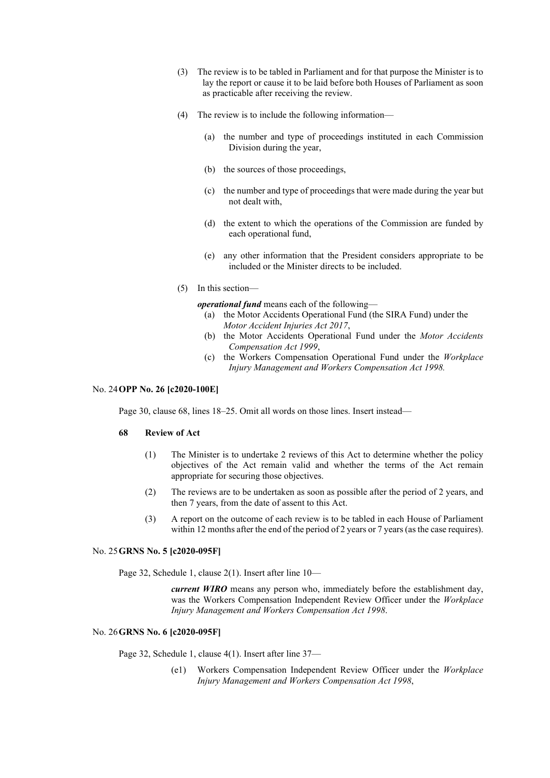- (3) The review is to be tabled in Parliament and for that purpose the Minister is to lay the report or cause it to be laid before both Houses of Parliament as soon as practicable after receiving the review.
- (4) The review is to include the following information—
	- (a) the number and type of proceedings instituted in each Commission Division during the year,
	- (b) the sources of those proceedings,
	- (c) the number and type of proceedings that were made during the year but not dealt with,
	- (d) the extent to which the operations of the Commission are funded by each operational fund,
	- (e) any other information that the President considers appropriate to be included or the Minister directs to be included.
- (5) In this section—

*operational fund* means each of the following—

- (a) the Motor Accidents Operational Fund (the SIRA Fund) under the *Motor Accident Injuries Act 2017*,
- (b) the Motor Accidents Operational Fund under the *Motor Accidents Compensation Act 1999*,
- (c) the Workers Compensation Operational Fund under the *Workplace Injury Management and Workers Compensation Act 1998.*

## No. 24**OPP No. 26 [c2020-100E]**

Page 30, clause 68, lines 18–25. Omit all words on those lines. Insert instead—

#### **68 Review of Act**

- (1) The Minister is to undertake 2 reviews of this Act to determine whether the policy objectives of the Act remain valid and whether the terms of the Act remain appropriate for securing those objectives.
- (2) The reviews are to be undertaken as soon as possible after the period of 2 years, and then 7 years, from the date of assent to this Act.
- (3) A report on the outcome of each review is to be tabled in each House of Parliament within 12 months after the end of the period of 2 years or 7 years (as the case requires).

#### No. 25**GRNS No. 5 [c2020-095F]**

Page 32, Schedule 1, clause 2(1). Insert after line 10—

*current WIRO* means any person who, immediately before the establishment day, was the Workers Compensation Independent Review Officer under the *Workplace Injury Management and Workers Compensation Act 1998*.

# No. 26**GRNS No. 6 [c2020-095F]**

Page 32, Schedule 1, clause 4(1). Insert after line 37—

(e1) Workers Compensation Independent Review Officer under the *Workplace Injury Management and Workers Compensation Act 1998*,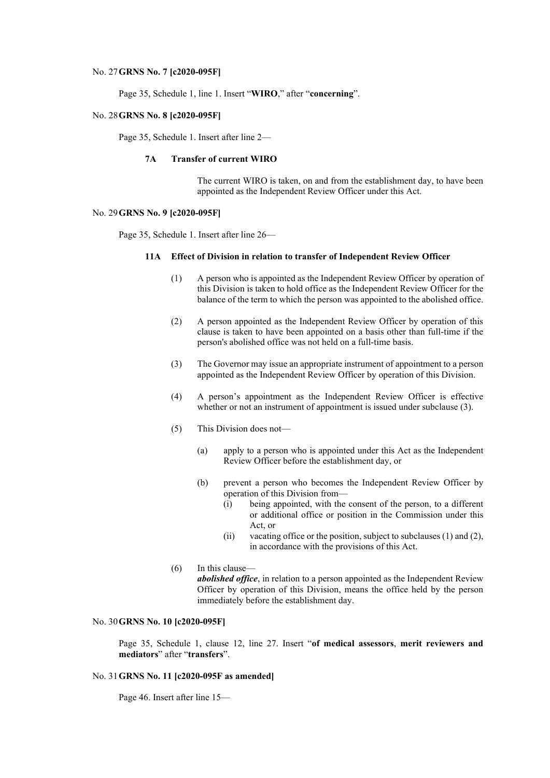#### No. 27**GRNS No. 7 [c2020-095F]**

Page 35, Schedule 1, line 1. Insert "**WIRO**," after "**concerning**".

## No. 28**GRNS No. 8 [c2020-095F]**

Page 35, Schedule 1. Insert after line 2—

# **7A Transfer of current WIRO**

The current WIRO is taken, on and from the establishment day, to have been appointed as the Independent Review Officer under this Act.

## No. 29**GRNS No. 9 [c2020-095F]**

Page 35, Schedule 1. Insert after line 26—

# **11A Effect of Division in relation to transfer of Independent Review Officer**

- (1) A person who is appointed as the Independent Review Officer by operation of this Division is taken to hold office as the Independent Review Officer for the balance of the term to which the person was appointed to the abolished office.
- (2) A person appointed as the Independent Review Officer by operation of this clause is taken to have been appointed on a basis other than full-time if the person's abolished office was not held on a full-time basis.
- (3) The Governor may issue an appropriate instrument of appointment to a person appointed as the Independent Review Officer by operation of this Division.
- (4) A person's appointment as the Independent Review Officer is effective whether or not an instrument of appointment is issued under subclause (3).
- (5) This Division does not—
	- (a) apply to a person who is appointed under this Act as the Independent Review Officer before the establishment day, or
	- (b) prevent a person who becomes the Independent Review Officer by operation of this Division from—
		- (i) being appointed, with the consent of the person, to a different or additional office or position in the Commission under this Act, or
		- (ii) vacating office or the position, subject to subclauses (1) and (2), in accordance with the provisions of this Act.

(6) In this clause—

*abolished office*, in relation to a person appointed as the Independent Review Officer by operation of this Division, means the office held by the person immediately before the establishment day.

#### No. 30**GRNS No. 10 [c2020-095F]**

Page 35, Schedule 1, clause 12, line 27. Insert "**of medical assessors**, **merit reviewers and mediators**" after "**transfers**".

## No. 31**GRNS No. 11 [c2020-095F as amended]**

Page 46. Insert after line 15—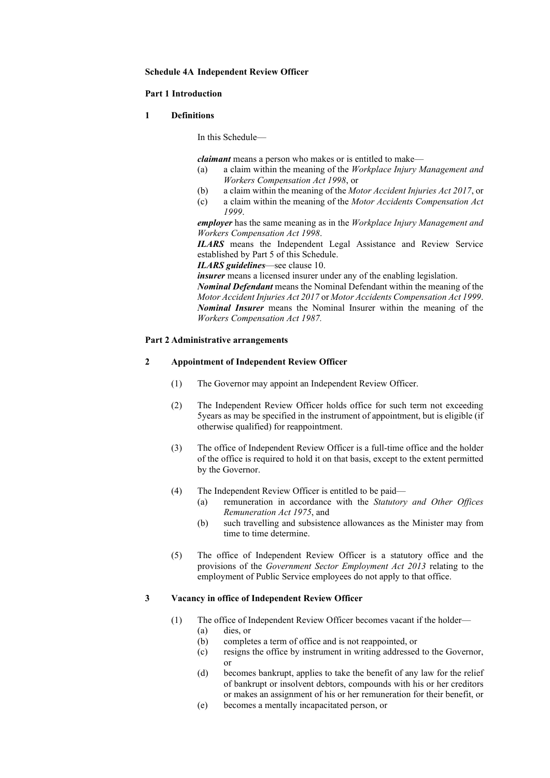#### **Schedule 4A Independent Review Officer**

### **Part 1 Introduction**

### **1 Definitions**

In this Schedule—

*claimant* means a person who makes or is entitled to make—

- (a) a claim within the meaning of the *Workplace Injury Management and Workers Compensation Act 1998*, or
- (b) a claim within the meaning of the *Motor Accident Injuries Act 2017*, or
- (c) a claim within the meaning of the *Motor Accidents Compensation Act 1999*.

*employer* has the same meaning as in the *Workplace Injury Management and Workers Compensation Act 1998*.

*ILARS* means the Independent Legal Assistance and Review Service established by Part 5 of this Schedule.

*ILARS guidelines*—see clause 10.

*insurer* means a licensed insurer under any of the enabling legislation.

*Nominal Defendant* means the Nominal Defendant within the meaning of the *Motor Accident Injuries Act 2017* or *Motor Accidents Compensation Act 1999*. *Nominal Insurer* means the Nominal Insurer within the meaning of the *Workers Compensation Act 1987.*

# **Part 2 Administrative arrangements**

# **2 Appointment of Independent Review Officer**

- (1) The Governor may appoint an Independent Review Officer.
- (2) The Independent Review Officer holds office for such term not exceeding 5years as may be specified in the instrument of appointment, but is eligible (if otherwise qualified) for reappointment.
- (3) The office of Independent Review Officer is a full-time office and the holder of the office is required to hold it on that basis, except to the extent permitted by the Governor.
- (4) The Independent Review Officer is entitled to be paid—
	- (a) remuneration in accordance with the *Statutory and Other Offices Remuneration Act 1975*, and
	- (b) such travelling and subsistence allowances as the Minister may from time to time determine.
- (5) The office of Independent Review Officer is a statutory office and the provisions of the *Government Sector Employment Act 2013* relating to the employment of Public Service employees do not apply to that office.

#### **3 Vacancy in office of Independent Review Officer**

- (1) The office of Independent Review Officer becomes vacant if the holder— (a) dies, or
	- (b) completes a term of office and is not reappointed, or
	- (c) resigns the office by instrument in writing addressed to the Governor, or
	- (d) becomes bankrupt, applies to take the benefit of any law for the relief of bankrupt or insolvent debtors, compounds with his or her creditors or makes an assignment of his or her remuneration for their benefit, or
	- (e) becomes a mentally incapacitated person, or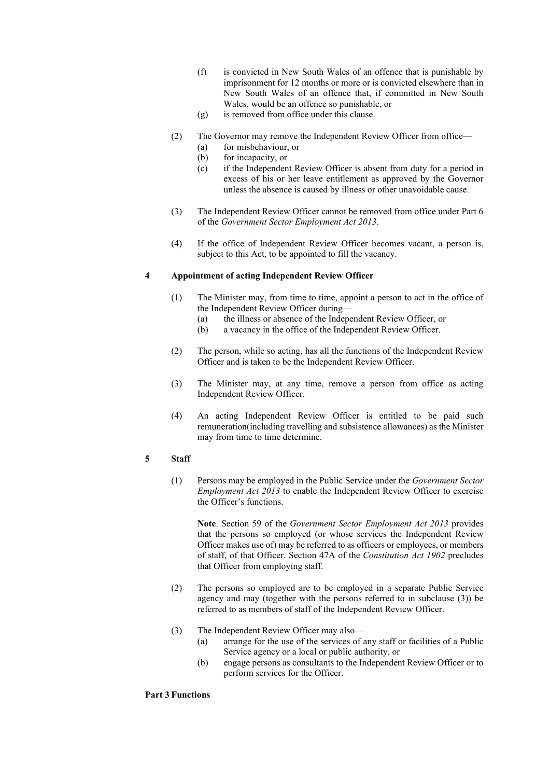- (f) is convicted in New South Wales of an offence that is punishable by imprisonment for 12 months or more or is convicted elsewhere than in New South Wales of an offence that, if committed in New South Wales, would be an offence so punishable, or
- (g) is removed from office under this clause.
- (2) The Governor may remove the Independent Review Officer from office—
	- (a) for misbehaviour, or
	- (b) for incapacity, or
	- (c) if the Independent Review Officer is absent from duty for a period in excess of his or her leave entitlement as approved by the Governor unless the absence is caused by illness or other unavoidable cause.
- (3) The Independent Review Officer cannot be removed from office under Part 6 of the *Government Sector Employment Act 2013*.
- (4) If the office of Independent Review Officer becomes vacant, a person is, subject to this Act, to be appointed to fill the vacancy.

#### **4 Appointment of acting Independent Review Officer**

- (1) The Minister may, from time to time, appoint a person to act in the office of the Independent Review Officer during—
	- (a) the illness or absence of the Independent Review Officer, or
	- (b) a vacancy in the office of the Independent Review Officer.
- (2) The person, while so acting, has all the functions of the Independent Review Officer and is taken to be the Independent Review Officer.
- (3) The Minister may, at any time, remove a person from office as acting Independent Review Officer.
- (4) An acting Independent Review Officer is entitled to be paid such remuneration(including travelling and subsistence allowances) as the Minister may from time to time determine.

# **5 Staff**

(1) Persons may be employed in the Public Service under the *Government Sector Employment Act 2013* to enable the Independent Review Officer to exercise the Officer's functions.

**Note**. Section 59 of the *Government Sector Employment Act 2013* provides that the persons so employed (or whose services the Independent Review Officer makes use of) may be referred to as officers or employees, or members of staff, of that Officer. Section 47A of the *Constitution Act 1902* precludes that Officer from employing staff.

- (2) The persons so employed are to be employed in a separate Public Service agency and may (together with the persons referred to in subclause (3)) be referred to as members of staff of the Independent Review Officer.
- (3) The Independent Review Officer may also—
	- (a) arrange for the use of the services of any staff or facilities of a Public Service agency or a local or public authority, or
	- (b) engage persons as consultants to the Independent Review Officer or to perform services for the Officer.

# **Part 3 Functions**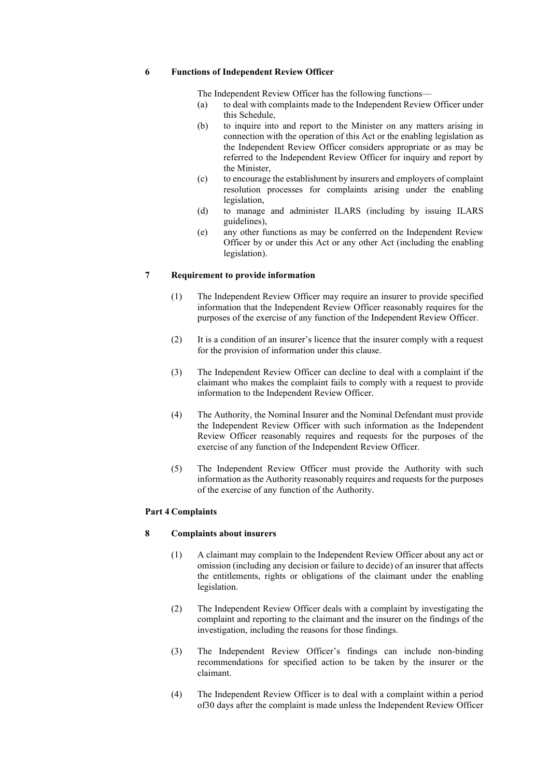#### **6 Functions of Independent Review Officer**

The Independent Review Officer has the following functions—

- (a) to deal with complaints made to the Independent Review Officer under this Schedule,
- (b) to inquire into and report to the Minister on any matters arising in connection with the operation of this Act or the enabling legislation as the Independent Review Officer considers appropriate or as may be referred to the Independent Review Officer for inquiry and report by the Minister,
- (c) to encourage the establishment by insurers and employers of complaint resolution processes for complaints arising under the enabling legislation,
- (d) to manage and administer ILARS (including by issuing ILARS guidelines),
- (e) any other functions as may be conferred on the Independent Review Officer by or under this Act or any other Act (including the enabling legislation).

#### **7 Requirement to provide information**

- (1) The Independent Review Officer may require an insurer to provide specified information that the Independent Review Officer reasonably requires for the purposes of the exercise of any function of the Independent Review Officer.
- (2) It is a condition of an insurer's licence that the insurer comply with a request for the provision of information under this clause.
- (3) The Independent Review Officer can decline to deal with a complaint if the claimant who makes the complaint fails to comply with a request to provide information to the Independent Review Officer.
- (4) The Authority, the Nominal Insurer and the Nominal Defendant must provide the Independent Review Officer with such information as the Independent Review Officer reasonably requires and requests for the purposes of the exercise of any function of the Independent Review Officer.
- (5) The Independent Review Officer must provide the Authority with such information as the Authority reasonably requires and requests for the purposes of the exercise of any function of the Authority.

## **Part 4 Complaints**

# **8 Complaints about insurers**

- (1) A claimant may complain to the Independent Review Officer about any act or omission (including any decision or failure to decide) of an insurer that affects the entitlements, rights or obligations of the claimant under the enabling legislation.
- (2) The Independent Review Officer deals with a complaint by investigating the complaint and reporting to the claimant and the insurer on the findings of the investigation, including the reasons for those findings.
- (3) The Independent Review Officer's findings can include non-binding recommendations for specified action to be taken by the insurer or the claimant.
- (4) The Independent Review Officer is to deal with a complaint within a period of30 days after the complaint is made unless the Independent Review Officer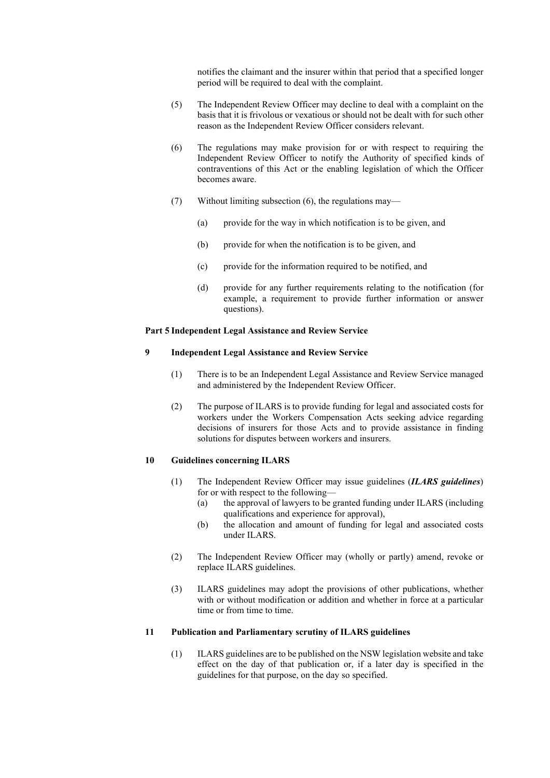notifies the claimant and the insurer within that period that a specified longer period will be required to deal with the complaint.

- (5) The Independent Review Officer may decline to deal with a complaint on the basis that it is frivolous or vexatious or should not be dealt with for such other reason as the Independent Review Officer considers relevant.
- (6) The regulations may make provision for or with respect to requiring the Independent Review Officer to notify the Authority of specified kinds of contraventions of this Act or the enabling legislation of which the Officer becomes aware.
- (7) Without limiting subsection (6), the regulations may—
	- (a) provide for the way in which notification is to be given, and
	- (b) provide for when the notification is to be given, and
	- (c) provide for the information required to be notified, and
	- (d) provide for any further requirements relating to the notification (for example, a requirement to provide further information or answer questions).

# **Part 5 Independent Legal Assistance and Review Service**

# **9 Independent Legal Assistance and Review Service**

- (1) There is to be an Independent Legal Assistance and Review Service managed and administered by the Independent Review Officer.
- (2) The purpose of ILARS is to provide funding for legal and associated costs for workers under the Workers Compensation Acts seeking advice regarding decisions of insurers for those Acts and to provide assistance in finding solutions for disputes between workers and insurers.

# **10 Guidelines concerning ILARS**

- (1) The Independent Review Officer may issue guidelines (*ILARS guidelines*) for or with respect to the following—
	- (a) the approval of lawyers to be granted funding under ILARS (including qualifications and experience for approval),
	- (b) the allocation and amount of funding for legal and associated costs under ILARS.
- (2) The Independent Review Officer may (wholly or partly) amend, revoke or replace ILARS guidelines.
- (3) ILARS guidelines may adopt the provisions of other publications, whether with or without modification or addition and whether in force at a particular time or from time to time.

# **11 Publication and Parliamentary scrutiny of ILARS guidelines**

(1) ILARS guidelines are to be published on the NSW legislation website and take effect on the day of that publication or, if a later day is specified in the guidelines for that purpose, on the day so specified.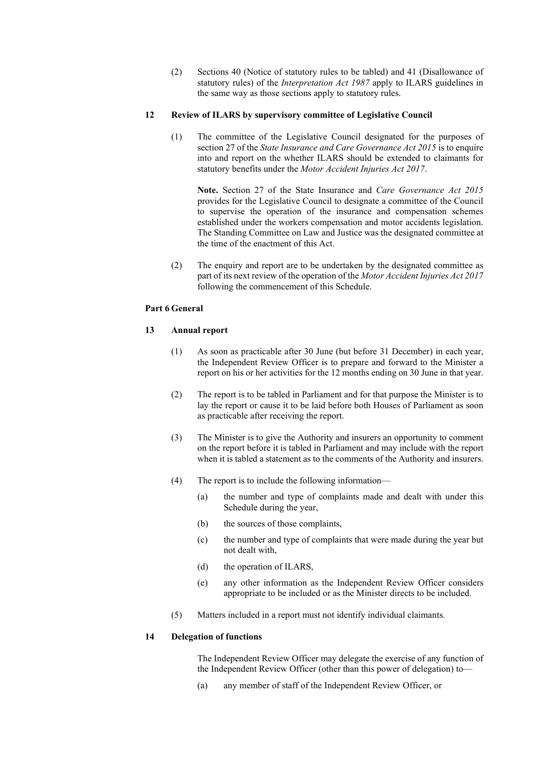(2) Sections 40 (Notice of statutory rules to be tabled) and 41 (Disallowance of statutory rules) of the *Interpretation Act 1987* apply to ILARS guidelines in the same way as those sections apply to statutory rules.

## **12 Review of ILARS by supervisory committee of Legislative Council**

(1) The committee of the Legislative Council designated for the purposes of section 27 of the *State Insurance and Care Governance Act 2015* is to enquire into and report on the whether ILARS should be extended to claimants for statutory benefits under the *Motor Accident Injuries Act 2017*.

**Note.** Section 27 of the State Insurance and *Care Governance Act 2015* provides for the Legislative Council to designate a committee of the Council to supervise the operation of the insurance and compensation schemes established under the workers compensation and motor accidents legislation. The Standing Committee on Law and Justice was the designated committee at the time of the enactment of this Act.

(2) The enquiry and report are to be undertaken by the designated committee as part of its next review of the operation of the *Motor Accident Injuries Act 2017* following the commencement of this Schedule.

# **Part 6 General**

# **13 Annual report**

- (1) As soon as practicable after 30 June (but before 31 December) in each year, the Independent Review Officer is to prepare and forward to the Minister a report on his or her activities for the 12 months ending on 30 June in that year.
- (2) The report is to be tabled in Parliament and for that purpose the Minister is to lay the report or cause it to be laid before both Houses of Parliament as soon as practicable after receiving the report.
- (3) The Minister is to give the Authority and insurers an opportunity to comment on the report before it is tabled in Parliament and may include with the report when it is tabled a statement as to the comments of the Authority and insurers.
- (4) The report is to include the following information—
	- (a) the number and type of complaints made and dealt with under this Schedule during the year,
	- (b) the sources of those complaints,
	- (c) the number and type of complaints that were made during the year but not dealt with,
	- (d) the operation of ILARS,
	- (e) any other information as the Independent Review Officer considers appropriate to be included or as the Minister directs to be included.
- (5) Matters included in a report must not identify individual claimants.

# **14 Delegation of functions**

The Independent Review Officer may delegate the exercise of any function of the Independent Review Officer (other than this power of delegation) to—

(a) any member of staff of the Independent Review Officer, or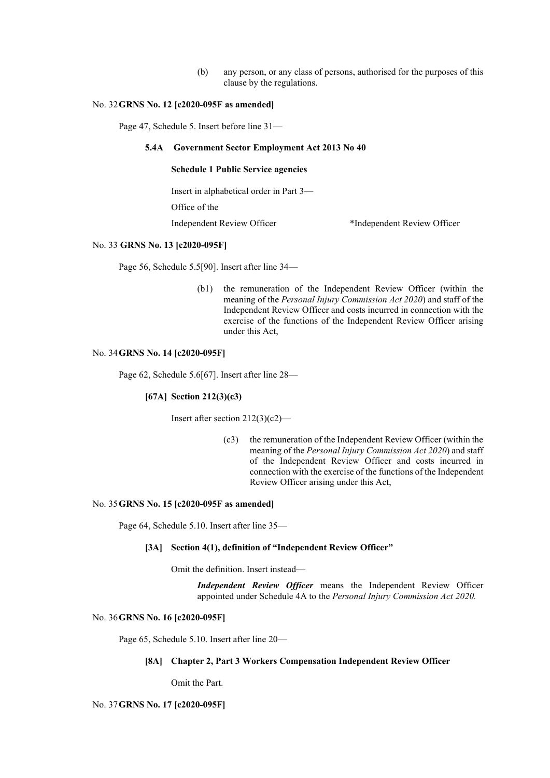(b) any person, or any class of persons, authorised for the purposes of this clause by the regulations.

## No. 32**GRNS No. 12 [c2020-095F as amended]**

Page 47, Schedule 5. Insert before line 31—

## **5.4A Government Sector Employment Act 2013 No 40**

### **Schedule 1 Public Service agencies**

Insert in alphabetical order in Part 3—

Office of the

Independent Review Officer \*Independent Review Officer

#### No. 33 **GRNS No. 13 [c2020-095F]**

Page 56, Schedule 5.5[90]. Insert after line 34—

(b1) the remuneration of the Independent Review Officer (within the meaning of the *Personal Injury Commission Act 2020*) and staff of the Independent Review Officer and costs incurred in connection with the exercise of the functions of the Independent Review Officer arising under this Act,

### No. 34**GRNS No. 14 [c2020-095F]**

Page 62, Schedule 5.6[67]. Insert after line 28—

#### **[67A] Section 212(3)(c3)**

Insert after section 212(3)(c2)—

(c3) the remuneration of the Independent Review Officer (within the meaning of the *Personal Injury Commission Act 2020*) and staff of the Independent Review Officer and costs incurred in connection with the exercise of the functions of the Independent Review Officer arising under this Act,

# No. 35**GRNS No. 15 [c2020-095F as amended]**

Page 64, Schedule 5.10. Insert after line 35—

# **[3A] Section 4(1), definition of "Independent Review Officer"**

Omit the definition. Insert instead—

*Independent Review Officer* means the Independent Review Officer appointed under Schedule 4A to the *Personal Injury Commission Act 2020.*

# No. 36**GRNS No. 16 [c2020-095F]**

Page 65, Schedule 5.10. Insert after line 20—

# **[8A] Chapter 2, Part 3 Workers Compensation Independent Review Officer**

Omit the Part.

## No. 37**GRNS No. 17 [c2020-095F]**